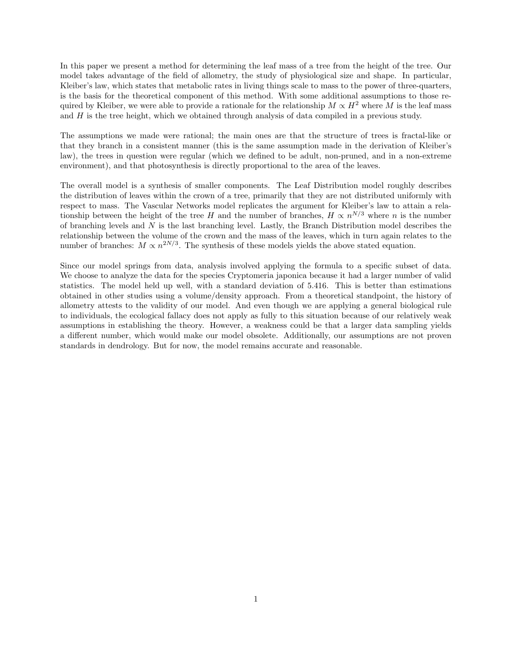In this paper we present a method for determining the leaf mass of a tree from the height of the tree. Our model takes advantage of the field of allometry, the study of physiological size and shape. In particular, Kleiber's law, which states that metabolic rates in living things scale to mass to the power of three-quarters, is the basis for the theoretical component of this method. With some additional assumptions to those required by Kleiber, we were able to provide a rationale for the relationship  $M \propto H^2$  where *M* is the leaf mass and *H* is the tree height, which we obtained through analysis of data compiled in a previous study.

The assumptions we made were rational; the main ones are that the structure of trees is fractal-like or that they branch in a consistent manner (this is the same assumption made in the derivation of Kleiber's law), the trees in question were regular (which we defined to be adult, non-pruned, and in a non-extreme environment), and that photosynthesis is directly proportional to the area of the leaves.

The overall model is a synthesis of smaller components. The Leaf Distribution model roughly describes the distribution of leaves within the crown of a tree, primarily that they are not distributed uniformly with respect to mass. The Vascular Networks model replicates the argument for Kleiber's law to attain a relationship between the height of the tree *H* and the number of branches,  $H \propto n^{N/3}$  where *n* is the number of branching levels and *N* is the last branching level. Lastly, the Branch Distribution model describes the relationship between the volume of the crown and the mass of the leaves, which in turn again relates to the number of branches:  $M \propto n^{2N/3}$ . The synthesis of these models yields the above stated equation.

Since our model springs from data, analysis involved applying the formula to a specific subset of data. We choose to analyze the data for the species Cryptomeria japonica because it had a larger number of valid statistics. The model held up well, with a standard deviation of 5.416. This is better than estimations obtained in other studies using a volume/density approach. From a theoretical standpoint, the history of allometry attests to the validity of our model. And even though we are applying a general biological rule to individuals, the ecological fallacy does not apply as fully to this situation because of our relatively weak assumptions in establishing the theory. However, a weakness could be that a larger data sampling yields a different number, which would make our model obsolete. Additionally, our assumptions are not proven standards in dendrology. But for now, the model remains accurate and reasonable.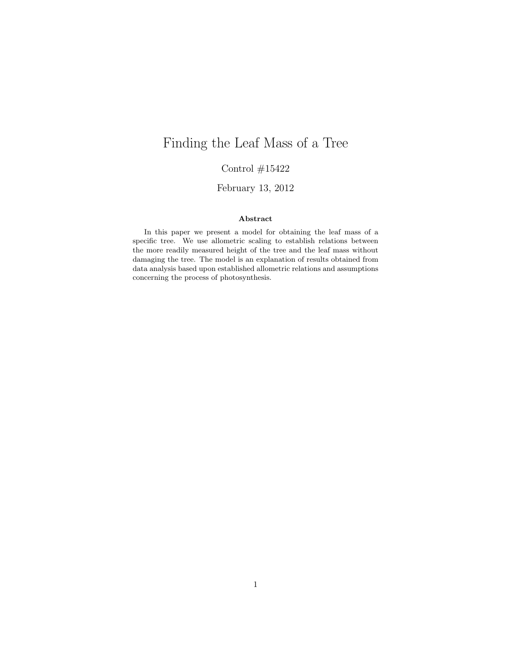# Finding the Leaf Mass of a Tree

Control  $\#15422$ 

February 13, 2012

#### Abstract

In this paper we present a model for obtaining the leaf mass of a specific tree. We use allometric scaling to establish relations between the more readily measured height of the tree and the leaf mass without damaging the tree. The model is an explanation of results obtained from data analysis based upon established allometric relations and assumptions concerning the process of photosynthesis.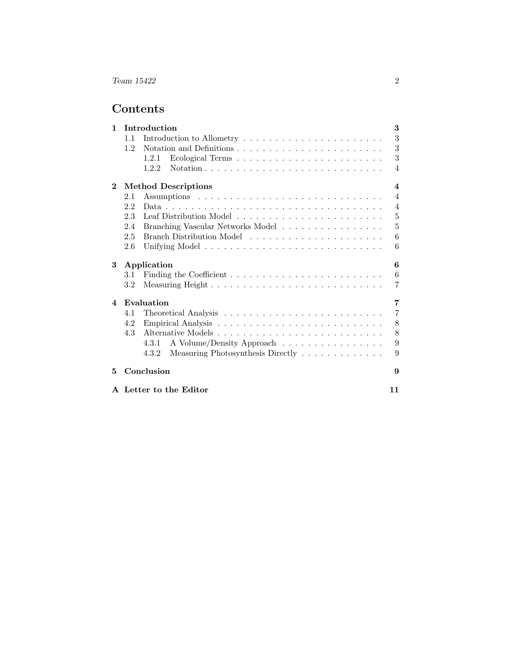## Contents

| $\mathbf{1}$ |                                                | Introduction                               | 3              |
|--------------|------------------------------------------------|--------------------------------------------|----------------|
|              | 1.1                                            |                                            | 3              |
|              | $1.2^{\circ}$                                  |                                            | 3              |
|              |                                                | 1.2.1                                      | 3              |
|              |                                                | 1.2.2                                      | $\overline{4}$ |
| $\bf{2}$     | <b>Method Descriptions</b><br>$\boldsymbol{4}$ |                                            |                |
|              | 2.1                                            |                                            | $\overline{4}$ |
|              | 2.2                                            |                                            | $\overline{4}$ |
|              | 2.3                                            |                                            | $\overline{5}$ |
|              | 2.4                                            | Branching Vascular Networks Model          | $\overline{5}$ |
|              | 2.5                                            |                                            | 6              |
|              | 2.6                                            |                                            | 6              |
| 3            | Application<br>6                               |                                            |                |
|              | 3.1                                            |                                            | 6              |
|              | $3.2\,$                                        |                                            | $\overline{7}$ |
| 4            |                                                | Evaluation                                 | $\overline{7}$ |
|              | 4.1                                            |                                            | $\overline{7}$ |
|              | 4.2                                            |                                            | 8              |
|              | 4.3                                            |                                            | 8              |
|              |                                                | A Volume/Density Approach<br>4.3.1         | 9              |
|              |                                                | Measuring Photosynthesis Directly<br>4.3.2 | 9              |
| 5            |                                                | Conclusion                                 | 9              |
|              |                                                | A Letter to the Editor                     | 11             |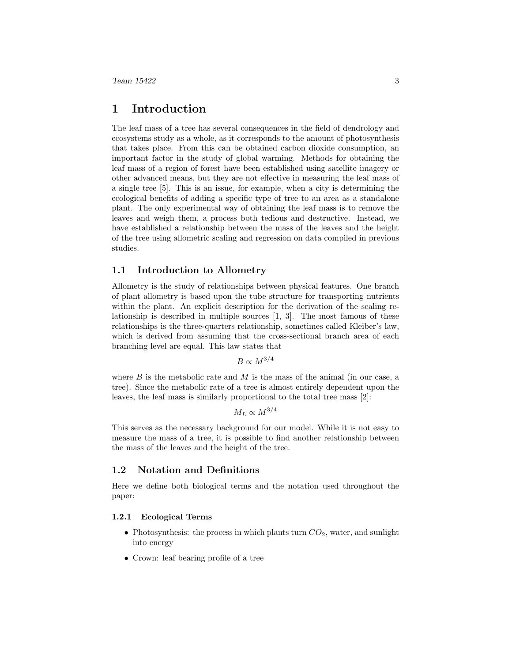## 1 Introduction

The leaf mass of a tree has several consequences in the field of dendrology and ecosystems study as a whole, as it corresponds to the amount of photosynthesis that takes place. From this can be obtained carbon dioxide consumption, an important factor in the study of global warming. Methods for obtaining the leaf mass of a region of forest have been established using satellite imagery or other advanced means, but they are not effective in measuring the leaf mass of a single tree [5]. This is an issue, for example, when a city is determining the ecological benefits of adding a specific type of tree to an area as a standalone plant. The only experimental way of obtaining the leaf mass is to remove the leaves and weigh them, a process both tedious and destructive. Instead, we have established a relationship between the mass of the leaves and the height of the tree using allometric scaling and regression on data compiled in previous studies.

#### 1.1 Introduction to Allometry

Allometry is the study of relationships between physical features. One branch of plant allometry is based upon the tube structure for transporting nutrients within the plant. An explicit description for the derivation of the scaling relationship is described in multiple sources [1, 3]. The most famous of these relationships is the three-quarters relationship, sometimes called Kleiber's law, which is derived from assuming that the cross-sectional branch area of each branching level are equal. This law states that

 $B \propto M^{3/4}$ 

where *B* is the metabolic rate and *M* is the mass of the animal (in our case, a tree). Since the metabolic rate of a tree is almost entirely dependent upon the leaves, the leaf mass is similarly proportional to the total tree mass [2]:

 $M_L \propto M^{3/4}$ 

This serves as the necessary background for our model. While it is not easy to measure the mass of a tree, it is possible to find another relationship between the mass of the leaves and the height of the tree.

#### 1.2 Notation and Definitions

Here we define both biological terms and the notation used throughout the paper:

#### 1.2.1 Ecological Terms

- Photosynthesis: the process in which plants turn  $CO_2$ , water, and sunlight into energy
- *•* Crown: leaf bearing profile of a tree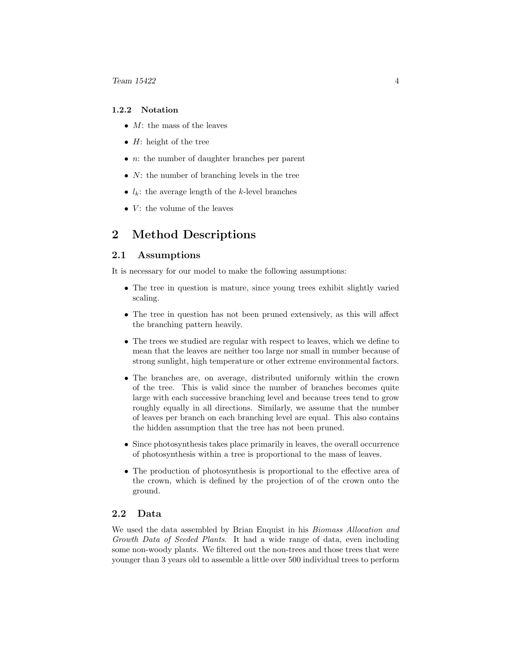#### 1.2.2 Notation

- *• M*: the mass of the leaves
- *• H*: height of the tree
- *• n*: the number of daughter branches per parent
- *• N*: the number of branching levels in the tree
- $l_k$ : the average length of the *k*-level branches
- *V*: the volume of the leaves

## 2 Method Descriptions

#### 2.1 Assumptions

It is necessary for our model to make the following assumptions:

- The tree in question is mature, since young trees exhibit slightly varied scaling.
- The tree in question has not been pruned extensively, as this will affect the branching pattern heavily.
- The trees we studied are regular with respect to leaves, which we define to mean that the leaves are neither too large nor small in number because of strong sunlight, high temperature or other extreme environmental factors.
- The branches are, on average, distributed uniformly within the crown of the tree. This is valid since the number of branches becomes quite large with each successive branching level and because trees tend to grow roughly equally in all directions. Similarly, we assume that the number of leaves per branch on each branching level are equal. This also contains the hidden assumption that the tree has not been pruned.
- *•* Since photosynthesis takes place primarily in leaves, the overall occurrence of photosynthesis within a tree is proportional to the mass of leaves.
- The production of photosynthesis is proportional to the effective area of the crown, which is defined by the projection of of the crown onto the ground.

#### 2.2 Data

We used the data assembled by Brian Enquist in his *Biomass Allocation and Growth Data of Seeded Plants*. It had a wide range of data, even including some non-woody plants. We filtered out the non-trees and those trees that were younger than 3 years old to assemble a little over 500 individual trees to perform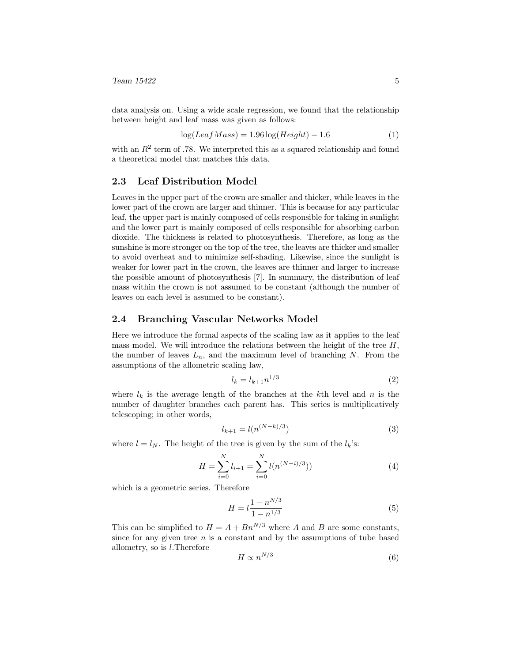data analysis on. Using a wide scale regression, we found that the relationship between height and leaf mass was given as follows:

$$
\log(LeafMass) = 1.96 \log(Height) - 1.6 \tag{1}
$$

with an  $R^2$  term of .78. We interpreted this as a squared relationship and found a theoretical model that matches this data.

#### 2.3 Leaf Distribution Model

Leaves in the upper part of the crown are smaller and thicker, while leaves in the lower part of the crown are larger and thinner. This is because for any particular leaf, the upper part is mainly composed of cells responsible for taking in sunlight and the lower part is mainly composed of cells responsible for absorbing carbon dioxide. The thickness is related to photosynthesis. Therefore, as long as the sunshine is more stronger on the top of the tree, the leaves are thicker and smaller to avoid overheat and to minimize self-shading. Likewise, since the sunlight is weaker for lower part in the crown, the leaves are thinner and larger to increase the possible amount of photosynthesis [7]. In summary, the distribution of leaf mass within the crown is not assumed to be constant (although the number of leaves on each level is assumed to be constant).

#### 2.4 Branching Vascular Networks Model

Here we introduce the formal aspects of the scaling law as it applies to the leaf mass model. We will introduce the relations between the height of the tree *H*, the number of leaves  $L_n$ , and the maximum level of branching  $N$ . From the assumptions of the allometric scaling law,

$$
l_k = l_{k+1} n^{1/3} \tag{2}
$$

where  $l_k$  is the average length of the branches at the  $k$ <sup>th</sup> level and  $n$  is the number of daughter branches each parent has. This series is multiplicatively telescoping; in other words,

$$
l_{k+1} = l(n^{(N-k)/3})
$$
\n(3)

where  $l = l_N$ . The height of the tree is given by the sum of the  $l_k$ 's:

$$
H = \sum_{i=0}^{N} l_{i+1} = \sum_{i=0}^{N} l(n^{(N-i)/3}))
$$
\n(4)

which is a geometric series. Therefore

$$
H = l \frac{1 - n^{N/3}}{1 - n^{1/3}}
$$
\n(5)

This can be simplified to  $H = A + Bn^{N/3}$  where *A* and *B* are some constants, since for any given tree  $n$  is a constant and by the assumptions of tube based allometry, so is *l*.Therefore

$$
H \propto n^{N/3} \tag{6}
$$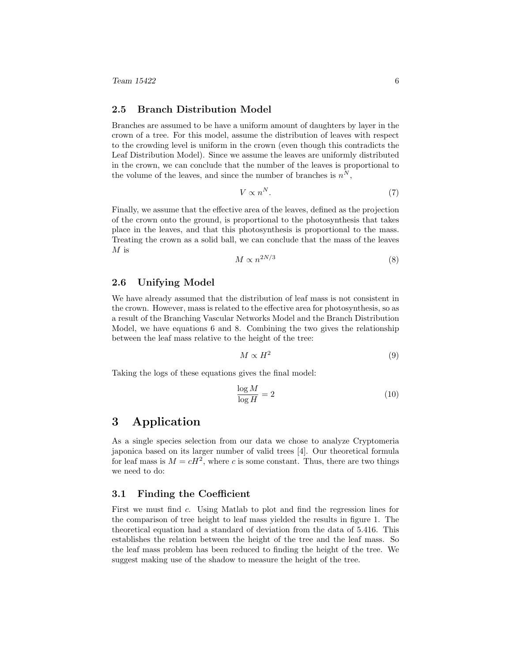*Team 15422* 6

#### 2.5 Branch Distribution Model

Branches are assumed to be have a uniform amount of daughters by layer in the crown of a tree. For this model, assume the distribution of leaves with respect to the crowding level is uniform in the crown (even though this contradicts the Leaf Distribution Model). Since we assume the leaves are uniformly distributed in the crown, we can conclude that the number of the leaves is proportional to the volume of the leaves, and since the number of branches is  $n^N$ ,

$$
V \propto n^N. \tag{7}
$$

Finally, we assume that the effective area of the leaves, defined as the projection of the crown onto the ground, is proportional to the photosynthesis that takes place in the leaves, and that this photosynthesis is proportional to the mass. Treating the crown as a solid ball, we can conclude that the mass of the leaves *M* is

$$
M \propto n^{2N/3} \tag{8}
$$

#### 2.6 Unifying Model

We have already assumed that the distribution of leaf mass is not consistent in the crown. However, mass is related to the effective area for photosynthesis, so as a result of the Branching Vascular Networks Model and the Branch Distribution Model, we have equations 6 and 8. Combining the two gives the relationship between the leaf mass relative to the height of the tree:

$$
M \propto H^2 \tag{9}
$$

Taking the logs of these equations gives the final model:

$$
\frac{\log M}{\log H} = 2\tag{10}
$$

## 3 Application

As a single species selection from our data we chose to analyze Cryptomeria japonica based on its larger number of valid trees [4]. Our theoretical formula for leaf mass is  $M = cH^2$ , where *c* is some constant. Thus, there are two things we need to do:

#### 3.1 Finding the Coefficient

First we must find *c*. Using Matlab to plot and find the regression lines for the comparison of tree height to leaf mass yielded the results in figure 1. The theoretical equation had a standard of deviation from the data of 5.416. This establishes the relation between the height of the tree and the leaf mass. So the leaf mass problem has been reduced to finding the height of the tree. We suggest making use of the shadow to measure the height of the tree.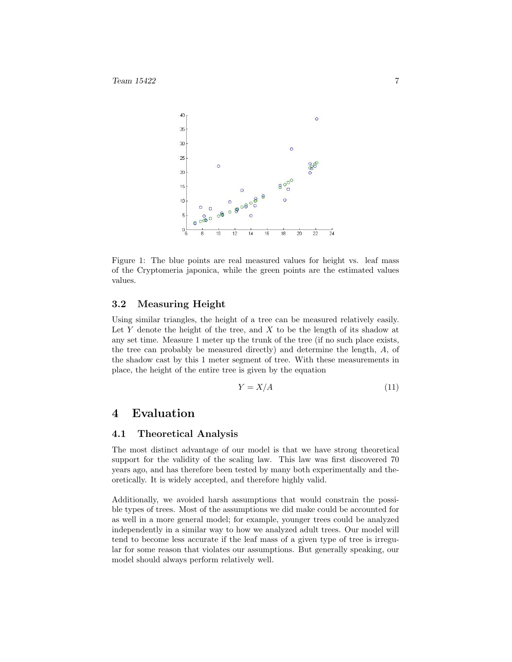

Figure 1: The blue points are real measured values for height vs. leaf mass of the Cryptomeria japonica, while the green points are the estimated values values.

#### 3.2 Measuring Height

Using similar triangles, the height of a tree can be measured relatively easily. Let *Y* denote the height of the tree, and *X* to be the length of its shadow at any set time. Measure 1 meter up the trunk of the tree (if no such place exists, the tree can probably be measured directly) and determine the length, *A*, of the shadow cast by this 1 meter segment of tree. With these measurements in place, the height of the entire tree is given by the equation

$$
Y = X/A \tag{11}
$$

### 4 Evaluation

#### 4.1 Theoretical Analysis

The most distinct advantage of our model is that we have strong theoretical support for the validity of the scaling law. This law was first discovered 70 years ago, and has therefore been tested by many both experimentally and theoretically. It is widely accepted, and therefore highly valid.

Additionally, we avoided harsh assumptions that would constrain the possible types of trees. Most of the assumptions we did make could be accounted for as well in a more general model; for example, younger trees could be analyzed independently in a similar way to how we analyzed adult trees. Our model will tend to become less accurate if the leaf mass of a given type of tree is irregular for some reason that violates our assumptions. But generally speaking, our model should always perform relatively well.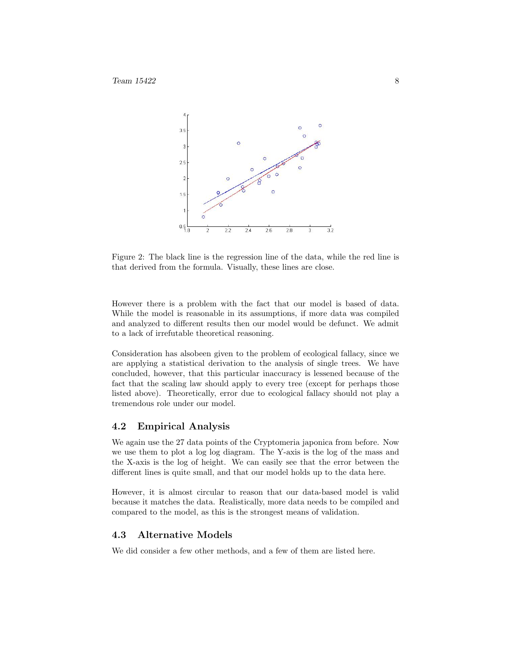

Figure 2: The black line is the regression line of the data, while the red line is that derived from the formula. Visually, these lines are close.

However there is a problem with the fact that our model is based of data. While the model is reasonable in its assumptions, if more data was compiled and analyzed to different results then our model would be defunct. We admit to a lack of irrefutable theoretical reasoning.

Consideration has alsobeen given to the problem of ecological fallacy, since we are applying a statistical derivation to the analysis of single trees. We have concluded, however, that this particular inaccuracy is lessened because of the fact that the scaling law should apply to every tree (except for perhaps those listed above). Theoretically, error due to ecological fallacy should not play a tremendous role under our model.

#### 4.2 Empirical Analysis

We again use the 27 data points of the Cryptomeria japonica from before. Now we use them to plot a log log diagram. The Y-axis is the log of the mass and the X-axis is the log of height. We can easily see that the error between the different lines is quite small, and that our model holds up to the data here.

However, it is almost circular to reason that our data-based model is valid because it matches the data. Realistically, more data needs to be compiled and compared to the model, as this is the strongest means of validation.

#### 4.3 Alternative Models

We did consider a few other methods, and a few of them are listed here.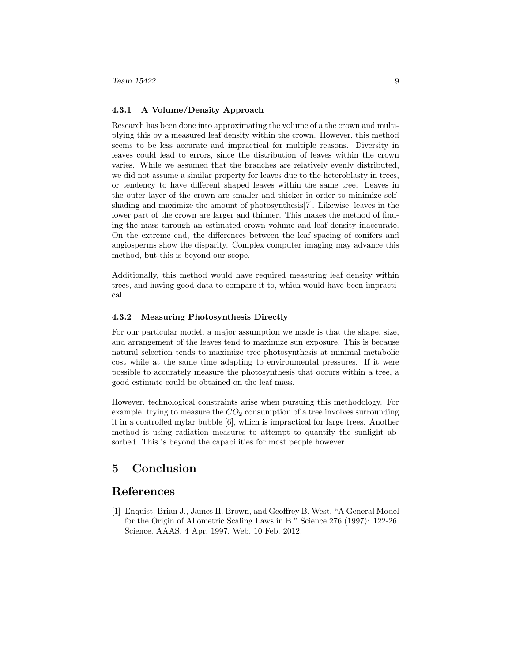#### 4.3.1 A Volume/Density Approach

Research has been done into approximating the volume of a the crown and multiplying this by a measured leaf density within the crown. However, this method seems to be less accurate and impractical for multiple reasons. Diversity in leaves could lead to errors, since the distribution of leaves within the crown varies. While we assumed that the branches are relatively evenly distributed, we did not assume a similar property for leaves due to the heteroblasty in trees, or tendency to have different shaped leaves within the same tree. Leaves in the outer layer of the crown are smaller and thicker in order to minimize selfshading and maximize the amount of photosynthesis[7]. Likewise, leaves in the lower part of the crown are larger and thinner. This makes the method of finding the mass through an estimated crown volume and leaf density inaccurate. On the extreme end, the differences between the leaf spacing of conifers and angiosperms show the disparity. Complex computer imaging may advance this method, but this is beyond our scope.

Additionally, this method would have required measuring leaf density within trees, and having good data to compare it to, which would have been impractical.

#### 4.3.2 Measuring Photosynthesis Directly

For our particular model, a major assumption we made is that the shape, size, and arrangement of the leaves tend to maximize sun exposure. This is because natural selection tends to maximize tree photosynthesis at minimal metabolic cost while at the same time adapting to environmental pressures. If it were possible to accurately measure the photosynthesis that occurs within a tree, a good estimate could be obtained on the leaf mass.

However, technological constraints arise when pursuing this methodology. For example, trying to measure the  $CO<sub>2</sub>$  consumption of a tree involves surrounding it in a controlled mylar bubble [6], which is impractical for large trees. Another method is using radiation measures to attempt to quantify the sunlight absorbed. This is beyond the capabilities for most people however.

## 5 Conclusion

### References

[1] Enquist, Brian J., James H. Brown, and Geoffrey B. West. "A General Model for the Origin of Allometric Scaling Laws in B." Science 276 (1997): 122-26. Science. AAAS, 4 Apr. 1997. Web. 10 Feb. 2012.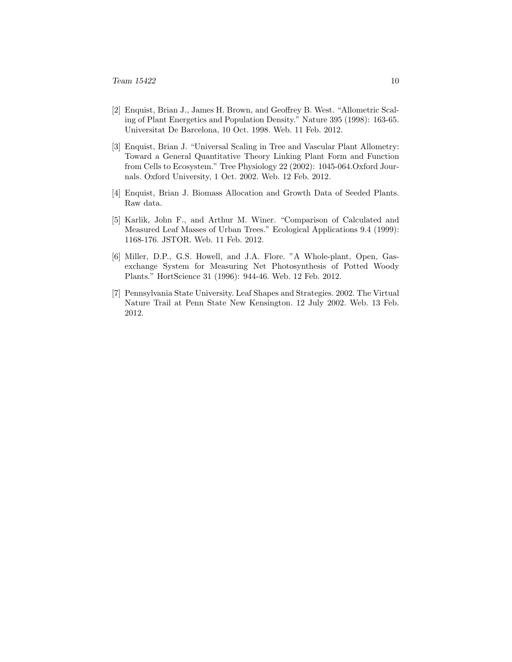- [2] Enquist, Brian J., James H. Brown, and Geoffrey B. West. "Allometric Scaling of Plant Energetics and Population Density." Nature 395 (1998): 163-65. Universitat De Barcelona, 10 Oct. 1998. Web. 11 Feb. 2012.
- [3] Enquist, Brian J. "Universal Scaling in Tree and Vascular Plant Allometry: Toward a General Quantitative Theory Linking Plant Form and Function from Cells to Ecosystem." Tree Physiology 22 (2002): 1045-064.Oxford Journals. Oxford University, 1 Oct. 2002. Web. 12 Feb. 2012.
- [4] Enquist, Brian J. Biomass Allocation and Growth Data of Seeded Plants. Raw data.
- [5] Karlik, John F., and Arthur M. Winer. "Comparison of Calculated and Measured Leaf Masses of Urban Trees." Ecological Applications 9.4 (1999): 1168-176. JSTOR. Web. 11 Feb. 2012.
- [6] Miller, D.P., G.S. Howell, and J.A. Flore. "A Whole-plant, Open, Gasexchange System for Measuring Net Photosynthesis of Potted Woody Plants." HortScience 31 (1996): 944-46. Web. 12 Feb. 2012.
- [7] Pennsylvania State University. Leaf Shapes and Strategies. 2002. The Virtual Nature Trail at Penn State New Kensington. 12 July 2002. Web. 13 Feb. 2012.